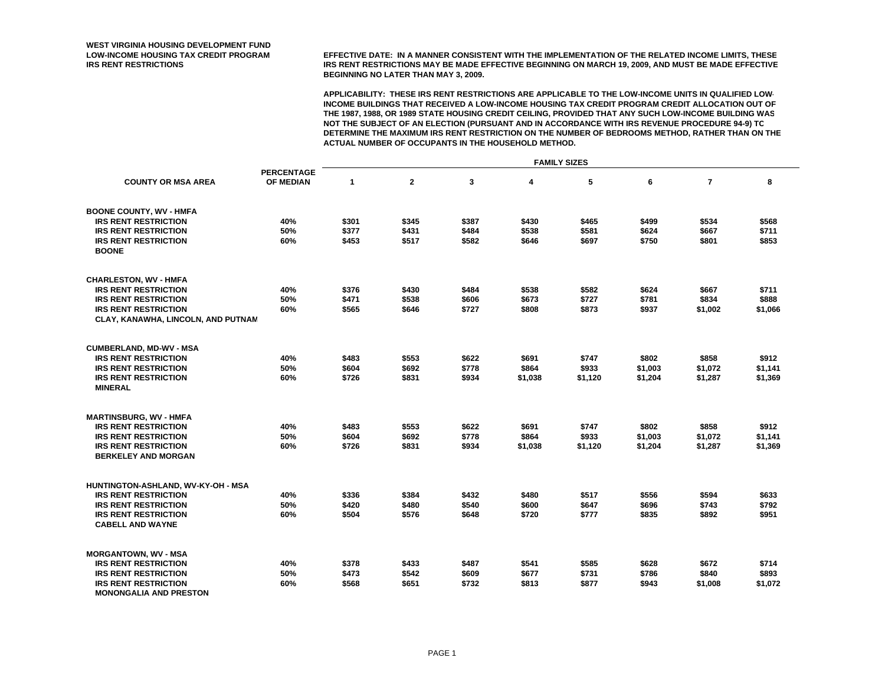**LOW-INCOME HOUSING TAX CREDIT PROGRAM EFFECTIVE DATE: IN A MANNER CONSISTENT WITH THE IMPLEMENTATION OF THE RELATED INCOME LIMITS, THESE IRS RENT RESTRICTIONS IRS RENT RESTRICTIONS MAY BE MADE EFFECTIVE BEGINNING ON MARCH 19, 2009, AND MUST BE MADE EFFECTIVE BEGINNING NO LATER THAN MAY 3, 2009.**

|                                                                          |                   | <b>FAMILY SIZES</b> |                |       |         |         |         |                |         |  |
|--------------------------------------------------------------------------|-------------------|---------------------|----------------|-------|---------|---------|---------|----------------|---------|--|
|                                                                          | <b>PERCENTAGE</b> |                     |                |       |         |         |         |                |         |  |
| <b>COUNTY OR MSA AREA</b>                                                | OF MEDIAN         | $\mathbf{1}$        | $\overline{2}$ | 3     | 4       | 5       | 6       | $\overline{7}$ | 8       |  |
| <b>BOONE COUNTY, WV - HMFA</b>                                           |                   |                     |                |       |         |         |         |                |         |  |
| <b>IRS RENT RESTRICTION</b>                                              | 40%               | \$301               | \$345          | \$387 | \$430   | \$465   | \$499   | \$534          | \$568   |  |
| <b>IRS RENT RESTRICTION</b>                                              | 50%               | \$377               | \$431          | \$484 | \$538   | \$581   | \$624   | \$667          | \$711   |  |
| <b>IRS RENT RESTRICTION</b><br><b>BOONE</b>                              | 60%               | \$453               | \$517          | \$582 | \$646   | \$697   | \$750   | \$801          | \$853   |  |
| <b>CHARLESTON, WV - HMFA</b>                                             |                   |                     |                |       |         |         |         |                |         |  |
| <b>IRS RENT RESTRICTION</b>                                              | 40%               | \$376               | \$430          | \$484 | \$538   | \$582   | \$624   | \$667          | \$711   |  |
| <b>IRS RENT RESTRICTION</b>                                              | 50%               | \$471               | \$538          | \$606 | \$673   | \$727   | \$781   | \$834          | \$888   |  |
| <b>IRS RENT RESTRICTION</b><br><b>CLAY, KANAWHA, LINCOLN, AND PUTNAM</b> | 60%               | \$565               | \$646          | \$727 | \$808   | \$873   | \$937   | \$1,002        | \$1,066 |  |
| <b>CUMBERLAND, MD-WV - MSA</b>                                           |                   |                     |                |       |         |         |         |                |         |  |
| <b>IRS RENT RESTRICTION</b>                                              | 40%               | \$483               | \$553          | \$622 | \$691   | \$747   | \$802   | \$858          | \$912   |  |
| <b>IRS RENT RESTRICTION</b>                                              | 50%               | \$604               | \$692          | \$778 | \$864   | \$933   | \$1,003 | \$1,072        | \$1,141 |  |
| <b>IRS RENT RESTRICTION</b><br><b>MINERAL</b>                            | 60%               | \$726               | \$831          | \$934 | \$1,038 | \$1,120 | \$1,204 | \$1,287        | \$1,369 |  |
| <b>MARTINSBURG, WV - HMFA</b>                                            |                   |                     |                |       |         |         |         |                |         |  |
| <b>IRS RENT RESTRICTION</b>                                              | 40%               | \$483               | \$553          | \$622 | \$691   | \$747   | \$802   | \$858          | \$912   |  |
| <b>IRS RENT RESTRICTION</b>                                              | 50%               | \$604               | \$692          | \$778 | \$864   | \$933   | \$1,003 | \$1,072        | \$1,141 |  |
| <b>IRS RENT RESTRICTION</b><br><b>BERKELEY AND MORGAN</b>                | 60%               | \$726               | \$831          | \$934 | \$1,038 | \$1,120 | \$1,204 | \$1,287        | \$1,369 |  |
| HUNTINGTON-ASHLAND, WV-KY-OH - MSA                                       |                   |                     |                |       |         |         |         |                |         |  |
| <b>IRS RENT RESTRICTION</b>                                              | 40%               | \$336               | \$384          | \$432 | \$480   | \$517   | \$556   | \$594          | \$633   |  |
| <b>IRS RENT RESTRICTION</b>                                              | 50%               | \$420               | \$480          | \$540 | \$600   | \$647   | \$696   | \$743          | \$792   |  |
| <b>IRS RENT RESTRICTION</b>                                              | 60%               | \$504               | \$576          | \$648 | \$720   | \$777   | \$835   | \$892          | \$951   |  |
| <b>CABELL AND WAYNE</b>                                                  |                   |                     |                |       |         |         |         |                |         |  |
| <b>MORGANTOWN, WV - MSA</b>                                              |                   |                     |                |       |         |         |         |                |         |  |
| <b>IRS RENT RESTRICTION</b>                                              | 40%               | \$378               | \$433          | \$487 | \$541   | \$585   | \$628   | \$672          | \$714   |  |
| <b>IRS RENT RESTRICTION</b>                                              | 50%               | \$473               | \$542          | \$609 | \$677   | \$731   | \$786   | \$840          | \$893   |  |
| <b>IRS RENT RESTRICTION</b><br><b>MONONGALIA AND PRESTON</b>             | 60%               | \$568               | \$651          | \$732 | \$813   | \$877   | \$943   | \$1,008        | \$1,072 |  |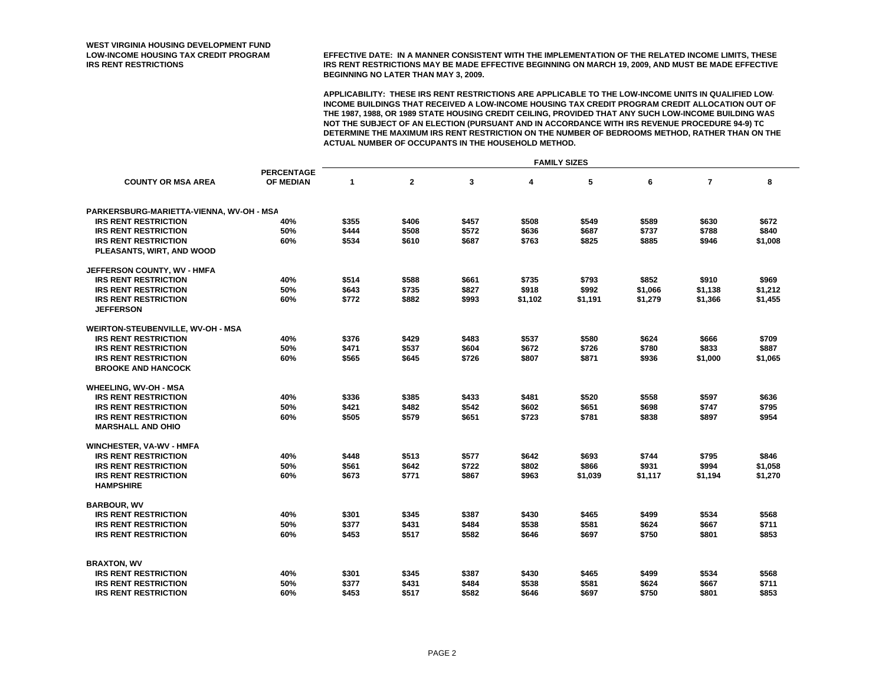**LOW-INCOME HOUSING TAX CREDIT PROGRAM EFFECTIVE DATE: IN A MANNER CONSISTENT WITH THE IMPLEMENTATION OF THE RELATED INCOME LIMITS, THESE IRS RENT RESTRICTIONS IRS RENT RESTRICTIONS MAY BE MADE EFFECTIVE BEGINNING ON MARCH 19, 2009, AND MUST BE MADE EFFECTIVE BEGINNING NO LATER THAN MAY 3, 2009.**

|                                                 |                                       | <b>FAMILY SIZES</b> |              |       |         |         |         |                |         |  |
|-------------------------------------------------|---------------------------------------|---------------------|--------------|-------|---------|---------|---------|----------------|---------|--|
| <b>COUNTY OR MSA AREA</b>                       | <b>PERCENTAGE</b><br><b>OF MEDIAN</b> | $\mathbf 1$         | $\mathbf{2}$ | 3     | 4       | 5       | 6       | $\overline{7}$ | 8       |  |
|                                                 |                                       |                     |              |       |         |         |         |                |         |  |
| PARKERSBURG-MARIETTA-VIENNA, WV-OH - MSA        |                                       |                     |              |       |         |         |         |                |         |  |
| <b>IRS RENT RESTRICTION</b>                     | 40%                                   | \$355               | \$406        | \$457 | \$508   | \$549   | \$589   | \$630          | \$672   |  |
| <b>IRS RENT RESTRICTION</b>                     | 50%                                   | \$444               | \$508        | \$572 | \$636   | \$687   | \$737   | \$788          | \$840   |  |
| <b>IRS RENT RESTRICTION</b>                     | 60%                                   | \$534               | \$610        | \$687 | \$763   | \$825   | \$885   | \$946          | \$1,008 |  |
| PLEASANTS, WIRT, AND WOOD                       |                                       |                     |              |       |         |         |         |                |         |  |
| JEFFERSON COUNTY, WV - HMFA                     |                                       |                     |              |       |         |         |         |                |         |  |
| <b>IRS RENT RESTRICTION</b>                     | 40%                                   | \$514               | \$588        | \$661 | \$735   | \$793   | \$852   | \$910          | \$969   |  |
| <b>IRS RENT RESTRICTION</b>                     | 50%                                   | \$643               | \$735        | \$827 | \$918   | \$992   | \$1,066 | \$1,138        | \$1,212 |  |
| <b>IRS RENT RESTRICTION</b><br><b>JEFFERSON</b> | 60%                                   | \$772               | \$882        | \$993 | \$1,102 | \$1,191 | \$1,279 | \$1,366        | \$1,455 |  |
| WEIRTON-STEUBENVILLE, WV-OH - MSA               |                                       |                     |              |       |         |         |         |                |         |  |
| <b>IRS RENT RESTRICTION</b>                     | 40%                                   | \$376               | \$429        | \$483 | \$537   | \$580   | \$624   | \$666          | \$709   |  |
| <b>IRS RENT RESTRICTION</b>                     | 50%                                   | \$471               | \$537        | \$604 | \$672   | \$726   | \$780   | \$833          | \$887   |  |
| <b>IRS RENT RESTRICTION</b>                     | 60%                                   | \$565               | \$645        | \$726 | \$807   | \$871   | \$936   | \$1,000        | \$1,065 |  |
| <b>BROOKE AND HANCOCK</b>                       |                                       |                     |              |       |         |         |         |                |         |  |
| <b>WHEELING, WV-OH - MSA</b>                    |                                       |                     |              |       |         |         |         |                |         |  |
| <b>IRS RENT RESTRICTION</b>                     | 40%                                   | \$336               | \$385        | \$433 | \$481   | \$520   | \$558   | \$597          | \$636   |  |
| <b>IRS RENT RESTRICTION</b>                     | 50%                                   | \$421               | \$482        | \$542 | \$602   | \$651   | \$698   | \$747          | \$795   |  |
| <b>IRS RENT RESTRICTION</b>                     | 60%                                   | \$505               | \$579        | \$651 | \$723   | \$781   | \$838   | \$897          | \$954   |  |
| <b>MARSHALL AND OHIO</b>                        |                                       |                     |              |       |         |         |         |                |         |  |
| <b>WINCHESTER, VA-WV - HMFA</b>                 |                                       |                     |              |       |         |         |         |                |         |  |
| <b>IRS RENT RESTRICTION</b>                     | 40%                                   | \$448               | \$513        | \$577 | \$642   | \$693   | \$744   | \$795          | \$846   |  |
| <b>IRS RENT RESTRICTION</b>                     | 50%                                   | \$561               | \$642        | \$722 | \$802   | \$866   | \$931   | \$994          | \$1,058 |  |
| <b>IRS RENT RESTRICTION</b><br><b>HAMPSHIRE</b> | 60%                                   | \$673               | \$771        | \$867 | \$963   | \$1,039 | \$1,117 | \$1,194        | \$1,270 |  |
| <b>BARBOUR, WV</b>                              |                                       |                     |              |       |         |         |         |                |         |  |
| <b>IRS RENT RESTRICTION</b>                     | 40%                                   | \$301               | \$345        | \$387 | \$430   | \$465   | \$499   | \$534          | \$568   |  |
| <b>IRS RENT RESTRICTION</b>                     | 50%                                   | \$377               | \$431        | \$484 | \$538   | \$581   | \$624   | \$667          | \$711   |  |
| <b>IRS RENT RESTRICTION</b>                     | 60%                                   | \$453               | \$517        | \$582 | \$646   | \$697   | \$750   | \$801          | \$853   |  |
| <b>BRAXTON, WV</b>                              |                                       |                     |              |       |         |         |         |                |         |  |
| <b>IRS RENT RESTRICTION</b>                     | 40%                                   | \$301               | \$345        | \$387 | \$430   | \$465   | \$499   | \$534          | \$568   |  |
| <b>IRS RENT RESTRICTION</b>                     | 50%                                   | \$377               | \$431        | \$484 | \$538   | \$581   | \$624   | \$667          | \$711   |  |
| <b>IRS RENT RESTRICTION</b>                     | 60%                                   | \$453               | \$517        | \$582 | \$646   | \$697   | \$750   | \$801          | \$853   |  |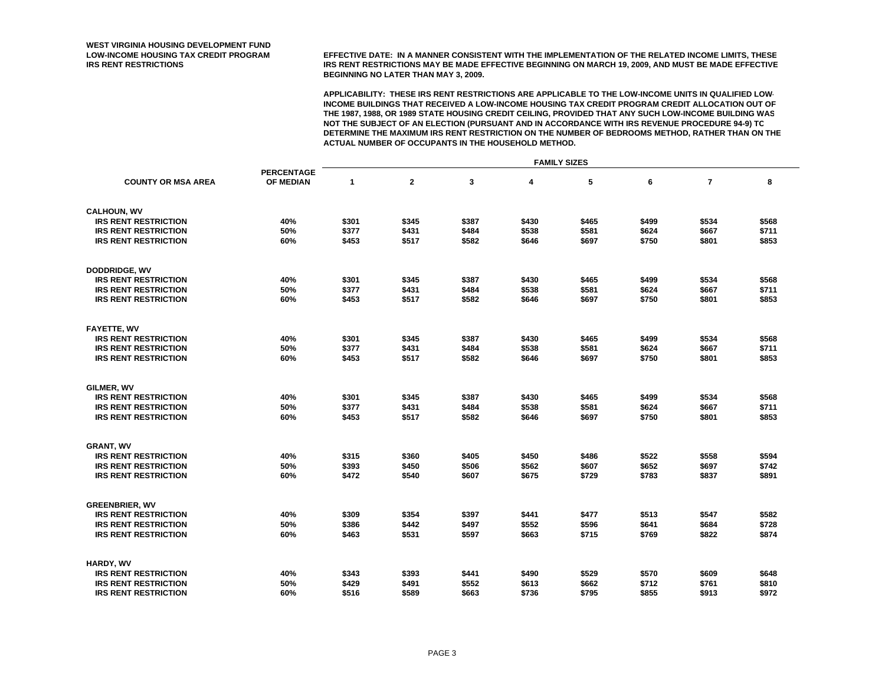**LOW-INCOME HOUSING TAX CREDIT PROGRAM EFFECTIVE DATE: IN A MANNER CONSISTENT WITH THE IMPLEMENTATION OF THE RELATED INCOME LIMITS, THESE IRS RENT RESTRICTIONS IRS RENT RESTRICTIONS MAY BE MADE EFFECTIVE BEGINNING ON MARCH 19, 2009, AND MUST BE MADE EFFECTIVE BEGINNING NO LATER THAN MAY 3, 2009.**

|                             |                   | <b>FAMILY SIZES</b> |                |       |       |       |       |                |       |  |
|-----------------------------|-------------------|---------------------|----------------|-------|-------|-------|-------|----------------|-------|--|
|                             | <b>PERCENTAGE</b> |                     |                |       |       |       |       |                |       |  |
| <b>COUNTY OR MSA AREA</b>   | OF MEDIAN         | $\mathbf{1}$        | $\overline{2}$ | 3     | 4     | 5     | 6     | $\overline{7}$ | 8     |  |
| <b>CALHOUN, WV</b>          |                   |                     |                |       |       |       |       |                |       |  |
| <b>IRS RENT RESTRICTION</b> | 40%               | \$301               | \$345          | \$387 | \$430 | \$465 | \$499 | \$534          | \$568 |  |
| <b>IRS RENT RESTRICTION</b> | 50%               | \$377               | \$431          | \$484 | \$538 | \$581 | \$624 | \$667          | \$711 |  |
| <b>IRS RENT RESTRICTION</b> | 60%               | \$453               | \$517          | \$582 | \$646 | \$697 | \$750 | \$801          | \$853 |  |
| <b>DODDRIDGE, WV</b>        |                   |                     |                |       |       |       |       |                |       |  |
| <b>IRS RENT RESTRICTION</b> | 40%               | \$301               | \$345          | \$387 | \$430 | \$465 | \$499 | \$534          | \$568 |  |
| <b>IRS RENT RESTRICTION</b> | 50%               | \$377               | \$431          | \$484 | \$538 | \$581 | \$624 | \$667          | \$711 |  |
| <b>IRS RENT RESTRICTION</b> | 60%               | \$453               | \$517          | \$582 | \$646 | \$697 | \$750 | \$801          | \$853 |  |
| <b>FAYETTE, WV</b>          |                   |                     |                |       |       |       |       |                |       |  |
| <b>IRS RENT RESTRICTION</b> | 40%               | \$301               | \$345          | \$387 | \$430 | \$465 | \$499 | \$534          | \$568 |  |
| <b>IRS RENT RESTRICTION</b> | 50%               | \$377               | \$431          | \$484 | \$538 | \$581 | \$624 | \$667          | \$711 |  |
| <b>IRS RENT RESTRICTION</b> | 60%               | \$453               | \$517          | \$582 | \$646 | \$697 | \$750 | \$801          | \$853 |  |
|                             |                   |                     |                |       |       |       |       |                |       |  |
| GILMER, WV                  |                   |                     |                |       |       |       |       |                |       |  |
| <b>IRS RENT RESTRICTION</b> | 40%               | \$301               | \$345          | \$387 | \$430 | \$465 | \$499 | \$534          | \$568 |  |
| <b>IRS RENT RESTRICTION</b> | 50%               | \$377               | \$431          | \$484 | \$538 | \$581 | \$624 | \$667          | \$711 |  |
| <b>IRS RENT RESTRICTION</b> | 60%               | \$453               | \$517          | \$582 | \$646 | \$697 | \$750 | \$801          | \$853 |  |
| <b>GRANT, WV</b>            |                   |                     |                |       |       |       |       |                |       |  |
| <b>IRS RENT RESTRICTION</b> | 40%               | \$315               | \$360          | \$405 | \$450 | \$486 | \$522 | \$558          | \$594 |  |
| <b>IRS RENT RESTRICTION</b> | 50%               | \$393               | \$450          | \$506 | \$562 | \$607 | \$652 | \$697          | \$742 |  |
| <b>IRS RENT RESTRICTION</b> | 60%               | \$472               | \$540          | \$607 | \$675 | \$729 | \$783 | \$837          | \$891 |  |
| <b>GREENBRIER, WV</b>       |                   |                     |                |       |       |       |       |                |       |  |
| <b>IRS RENT RESTRICTION</b> | 40%               | \$309               | \$354          | \$397 | \$441 | \$477 | \$513 | \$547          | \$582 |  |
| <b>IRS RENT RESTRICTION</b> | 50%               | \$386               | \$442          | \$497 | \$552 | \$596 | \$641 | \$684          | \$728 |  |
| <b>IRS RENT RESTRICTION</b> | 60%               | \$463               | \$531          | \$597 | \$663 | \$715 | \$769 | \$822          | \$874 |  |
| HARDY, WV                   |                   |                     |                |       |       |       |       |                |       |  |
| <b>IRS RENT RESTRICTION</b> | 40%               | \$343               | \$393          | \$441 | \$490 | \$529 | \$570 | \$609          | \$648 |  |
| <b>IRS RENT RESTRICTION</b> | 50%               | \$429               | \$491          | \$552 | \$613 | \$662 | \$712 | \$761          | \$810 |  |
| <b>IRS RENT RESTRICTION</b> | 60%               | \$516               | \$589          | \$663 | \$736 | \$795 | \$855 | \$913          | \$972 |  |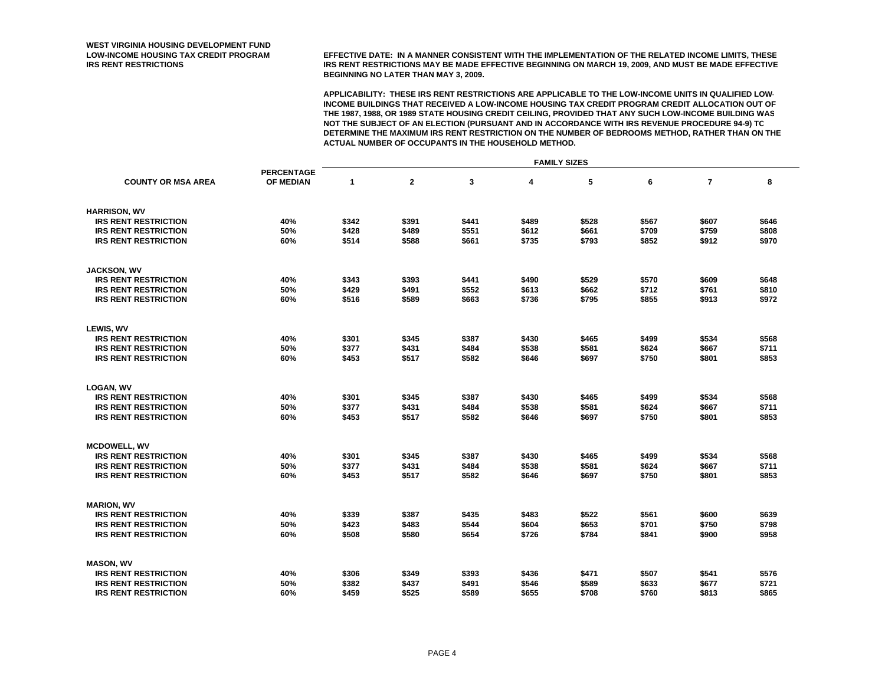**LOW-INCOME HOUSING TAX CREDIT PROGRAM EFFECTIVE DATE: IN A MANNER CONSISTENT WITH THE IMPLEMENTATION OF THE RELATED INCOME LIMITS, THESE IRS RENT RESTRICTIONS IRS RENT RESTRICTIONS MAY BE MADE EFFECTIVE BEGINNING ON MARCH 19, 2009, AND MUST BE MADE EFFECTIVE BEGINNING NO LATER THAN MAY 3, 2009.**

|                             |                   | <b>FAMILY SIZES</b> |                |       |       |       |       |                |       |  |
|-----------------------------|-------------------|---------------------|----------------|-------|-------|-------|-------|----------------|-------|--|
|                             | <b>PERCENTAGE</b> |                     |                |       |       |       |       |                |       |  |
| <b>COUNTY OR MSA AREA</b>   | OF MEDIAN         | $\mathbf{1}$        | $\overline{2}$ | 3     | 4     | 5     | 6     | $\overline{7}$ | 8     |  |
| <b>HARRISON, WV</b>         |                   |                     |                |       |       |       |       |                |       |  |
| <b>IRS RENT RESTRICTION</b> | 40%               | \$342               | \$391          | \$441 | \$489 | \$528 | \$567 | \$607          | \$646 |  |
| <b>IRS RENT RESTRICTION</b> | 50%               | \$428               | \$489          | \$551 | \$612 | \$661 | \$709 | \$759          | \$808 |  |
| <b>IRS RENT RESTRICTION</b> | 60%               | \$514               | \$588          | \$661 | \$735 | \$793 | \$852 | \$912          | \$970 |  |
| <b>JACKSON, WV</b>          |                   |                     |                |       |       |       |       |                |       |  |
| <b>IRS RENT RESTRICTION</b> | 40%               | \$343               | \$393          | \$441 | \$490 | \$529 | \$570 | \$609          | \$648 |  |
| <b>IRS RENT RESTRICTION</b> | 50%               | \$429               | \$491          | \$552 | \$613 | \$662 | \$712 | \$761          | \$810 |  |
| <b>IRS RENT RESTRICTION</b> | 60%               | \$516               | \$589          | \$663 | \$736 | \$795 | \$855 | \$913          | \$972 |  |
| LEWIS, WV                   |                   |                     |                |       |       |       |       |                |       |  |
| <b>IRS RENT RESTRICTION</b> | 40%               | \$301               | \$345          | \$387 | \$430 | \$465 | \$499 | \$534          | \$568 |  |
| <b>IRS RENT RESTRICTION</b> | 50%               | \$377               | \$431          | \$484 | \$538 | \$581 | \$624 | \$667          | \$711 |  |
| <b>IRS RENT RESTRICTION</b> | 60%               | \$453               | \$517          | \$582 | \$646 | \$697 | \$750 | \$801          | \$853 |  |
| <b>LOGAN, WV</b>            |                   |                     |                |       |       |       |       |                |       |  |
| <b>IRS RENT RESTRICTION</b> | 40%               | \$301               | \$345          | \$387 | \$430 | \$465 | \$499 | \$534          | \$568 |  |
| <b>IRS RENT RESTRICTION</b> | 50%               | \$377               | \$431          | \$484 | \$538 | \$581 | \$624 | \$667          | \$711 |  |
| <b>IRS RENT RESTRICTION</b> | 60%               | \$453               | \$517          | \$582 | \$646 | \$697 | \$750 | \$801          | \$853 |  |
| <b>MCDOWELL, WV</b>         |                   |                     |                |       |       |       |       |                |       |  |
| <b>IRS RENT RESTRICTION</b> | 40%               | \$301               | \$345          | \$387 | \$430 | \$465 | \$499 | \$534          | \$568 |  |
| <b>IRS RENT RESTRICTION</b> | 50%               | \$377               | \$431          | \$484 | \$538 | \$581 | \$624 | \$667          | \$711 |  |
| <b>IRS RENT RESTRICTION</b> | 60%               | \$453               | \$517          | \$582 | \$646 | \$697 | \$750 | \$801          | \$853 |  |
| <b>MARION, WV</b>           |                   |                     |                |       |       |       |       |                |       |  |
| <b>IRS RENT RESTRICTION</b> | 40%               | \$339               | \$387          | \$435 | \$483 | \$522 | \$561 | \$600          | \$639 |  |
| <b>IRS RENT RESTRICTION</b> | 50%               | \$423               | \$483          | \$544 | \$604 | \$653 | \$701 | \$750          | \$798 |  |
| <b>IRS RENT RESTRICTION</b> | 60%               | \$508               | \$580          | \$654 | \$726 | \$784 | \$841 | \$900          | \$958 |  |
| <b>MASON, WV</b>            |                   |                     |                |       |       |       |       |                |       |  |
| <b>IRS RENT RESTRICTION</b> | 40%               | \$306               | \$349          | \$393 | \$436 | \$471 | \$507 | \$541          | \$576 |  |
| <b>IRS RENT RESTRICTION</b> | 50%               | \$382               | \$437          | \$491 | \$546 | \$589 | \$633 | \$677          | \$721 |  |
| <b>IRS RENT RESTRICTION</b> | 60%               | \$459               | \$525          | \$589 | \$655 | \$708 | \$760 | \$813          | \$865 |  |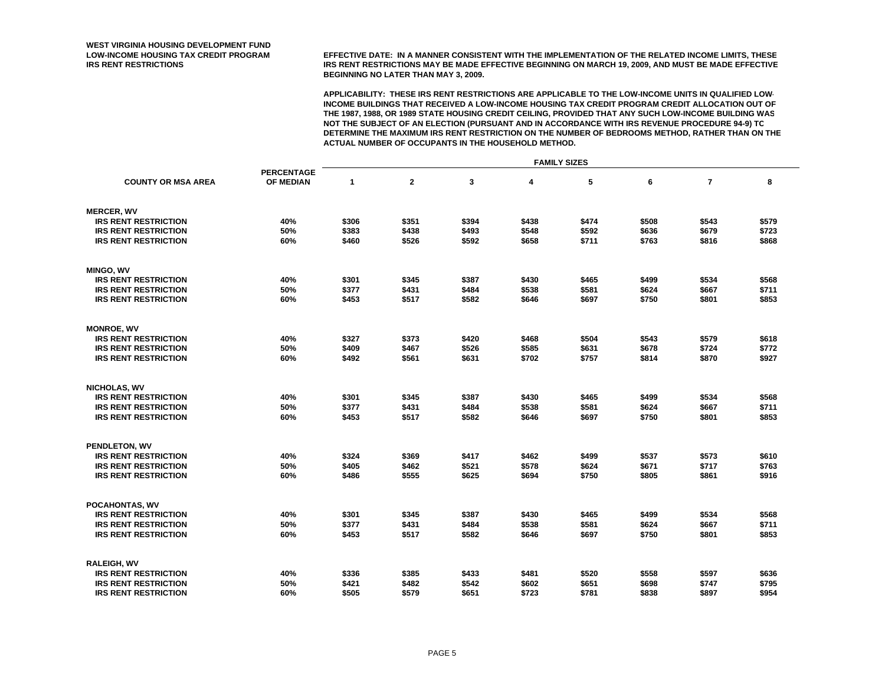**LOW-INCOME HOUSING TAX CREDIT PROGRAM EFFECTIVE DATE: IN A MANNER CONSISTENT WITH THE IMPLEMENTATION OF THE RELATED INCOME LIMITS, THESE IRS RENT RESTRICTIONS IRS RENT RESTRICTIONS MAY BE MADE EFFECTIVE BEGINNING ON MARCH 19, 2009, AND MUST BE MADE EFFECTIVE BEGINNING NO LATER THAN MAY 3, 2009.**

|                             |                   | <b>FAMILY SIZES</b> |              |       |       |       |       |                |       |  |
|-----------------------------|-------------------|---------------------|--------------|-------|-------|-------|-------|----------------|-------|--|
|                             | <b>PERCENTAGE</b> |                     |              |       |       |       |       |                |       |  |
| <b>COUNTY OR MSA AREA</b>   | OF MEDIAN         | $\mathbf{1}$        | $\mathbf{2}$ | 3     | 4     | 5     | 6     | $\overline{7}$ | 8     |  |
| <b>MERCER, WV</b>           |                   |                     |              |       |       |       |       |                |       |  |
| <b>IRS RENT RESTRICTION</b> | 40%               | \$306               | \$351        | \$394 | \$438 | \$474 | \$508 | \$543          | \$579 |  |
| <b>IRS RENT RESTRICTION</b> | 50%               | \$383               | \$438        | \$493 | \$548 | \$592 | \$636 | \$679          | \$723 |  |
| <b>IRS RENT RESTRICTION</b> | 60%               | \$460               | \$526        | \$592 | \$658 | \$711 | \$763 | \$816          | \$868 |  |
| <b>MINGO, WV</b>            |                   |                     |              |       |       |       |       |                |       |  |
| <b>IRS RENT RESTRICTION</b> | 40%               | \$301               | \$345        | \$387 | \$430 | \$465 | \$499 | \$534          | \$568 |  |
| <b>IRS RENT RESTRICTION</b> | 50%               | \$377               | \$431        | \$484 | \$538 | \$581 | \$624 | \$667          | \$711 |  |
| <b>IRS RENT RESTRICTION</b> | 60%               | \$453               | \$517        | \$582 | \$646 | \$697 | \$750 | \$801          | \$853 |  |
| <b>MONROE, WV</b>           |                   |                     |              |       |       |       |       |                |       |  |
| <b>IRS RENT RESTRICTION</b> | 40%               | \$327               | \$373        | \$420 | \$468 | \$504 | \$543 | \$579          | \$618 |  |
| <b>IRS RENT RESTRICTION</b> | 50%               | \$409               | \$467        | \$526 | \$585 | \$631 | \$678 | \$724          | \$772 |  |
| <b>IRS RENT RESTRICTION</b> | 60%               | \$492               | \$561        | \$631 | \$702 | \$757 | \$814 | \$870          | \$927 |  |
| <b>NICHOLAS, WV</b>         |                   |                     |              |       |       |       |       |                |       |  |
| <b>IRS RENT RESTRICTION</b> | 40%               | \$301               | \$345        | \$387 | \$430 | \$465 | \$499 | \$534          | \$568 |  |
| <b>IRS RENT RESTRICTION</b> | 50%               | \$377               | \$431        | \$484 | \$538 | \$581 | \$624 | \$667          | \$711 |  |
| <b>IRS RENT RESTRICTION</b> | 60%               | \$453               | \$517        | \$582 | \$646 | \$697 | \$750 | \$801          | \$853 |  |
| <b>PENDLETON, WV</b>        |                   |                     |              |       |       |       |       |                |       |  |
| <b>IRS RENT RESTRICTION</b> | 40%               | \$324               | \$369        | \$417 | \$462 | \$499 | \$537 | \$573          | \$610 |  |
| <b>IRS RENT RESTRICTION</b> | 50%               | \$405               | \$462        | \$521 | \$578 | \$624 | \$671 | \$717          | \$763 |  |
| <b>IRS RENT RESTRICTION</b> | 60%               | \$486               | \$555        | \$625 | \$694 | \$750 | \$805 | \$861          | \$916 |  |
| POCAHONTAS, WV              |                   |                     |              |       |       |       |       |                |       |  |
| <b>IRS RENT RESTRICTION</b> | 40%               | \$301               | \$345        | \$387 | \$430 | \$465 | \$499 | \$534          | \$568 |  |
| <b>IRS RENT RESTRICTION</b> | 50%               | \$377               | \$431        | \$484 | \$538 | \$581 | \$624 | \$667          | \$711 |  |
| <b>IRS RENT RESTRICTION</b> | 60%               | \$453               | \$517        | \$582 | \$646 | \$697 | \$750 | \$801          | \$853 |  |
| <b>RALEIGH, WV</b>          |                   |                     |              |       |       |       |       |                |       |  |
| <b>IRS RENT RESTRICTION</b> | 40%               | \$336               | \$385        | \$433 | \$481 | \$520 | \$558 | \$597          | \$636 |  |
| <b>IRS RENT RESTRICTION</b> | 50%               | \$421               | \$482        | \$542 | \$602 | \$651 | \$698 | \$747          | \$795 |  |
| <b>IRS RENT RESTRICTION</b> | 60%               | \$505               | \$579        | \$651 | \$723 | \$781 | \$838 | \$897          | \$954 |  |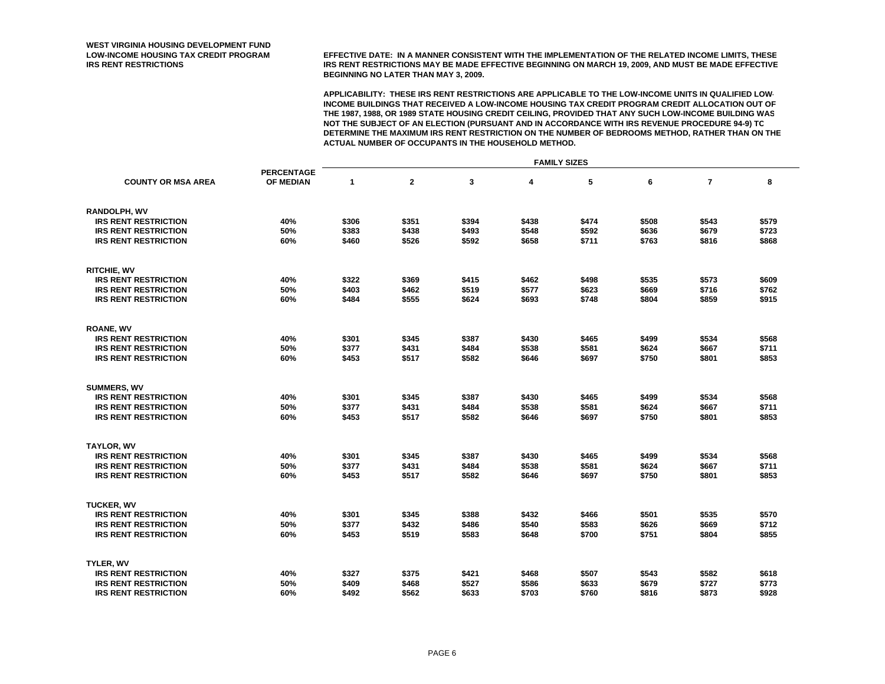**LOW-INCOME HOUSING TAX CREDIT PROGRAM EFFECTIVE DATE: IN A MANNER CONSISTENT WITH THE IMPLEMENTATION OF THE RELATED INCOME LIMITS, THESE IRS RENT RESTRICTIONS IRS RENT RESTRICTIONS MAY BE MADE EFFECTIVE BEGINNING ON MARCH 19, 2009, AND MUST BE MADE EFFECTIVE BEGINNING NO LATER THAN MAY 3, 2009.**

|                             |                                | <b>FAMILY SIZES</b> |              |       |       |       |       |                |       |  |
|-----------------------------|--------------------------------|---------------------|--------------|-------|-------|-------|-------|----------------|-------|--|
|                             | <b>PERCENTAGE</b><br>OF MEDIAN |                     |              |       |       |       |       |                |       |  |
| <b>COUNTY OR MSA AREA</b>   |                                | $\mathbf 1$         | $\mathbf{2}$ | 3     | 4     | 5     | 6     | $\overline{7}$ | 8     |  |
| <b>RANDOLPH, WV</b>         |                                |                     |              |       |       |       |       |                |       |  |
| <b>IRS RENT RESTRICTION</b> | 40%                            | \$306               | \$351        | \$394 | \$438 | \$474 | \$508 | \$543          | \$579 |  |
| <b>IRS RENT RESTRICTION</b> | 50%                            | \$383               | \$438        | \$493 | \$548 | \$592 | \$636 | \$679          | \$723 |  |
| <b>IRS RENT RESTRICTION</b> | 60%                            | \$460               | \$526        | \$592 | \$658 | \$711 | \$763 | \$816          | \$868 |  |
| <b>RITCHIE, WV</b>          |                                |                     |              |       |       |       |       |                |       |  |
| <b>IRS RENT RESTRICTION</b> | 40%                            | \$322               | \$369        | \$415 | \$462 | \$498 | \$535 | \$573          | \$609 |  |
| <b>IRS RENT RESTRICTION</b> | 50%                            | \$403               | \$462        | \$519 | \$577 | \$623 | \$669 | \$716          | \$762 |  |
| <b>IRS RENT RESTRICTION</b> | 60%                            | \$484               | \$555        | \$624 | \$693 | \$748 | \$804 | \$859          | \$915 |  |
| <b>ROANE, WV</b>            |                                |                     |              |       |       |       |       |                |       |  |
| <b>IRS RENT RESTRICTION</b> | 40%                            | \$301               | \$345        | \$387 | \$430 | \$465 | \$499 | \$534          | \$568 |  |
| <b>IRS RENT RESTRICTION</b> | 50%                            | \$377               | \$431        | \$484 | \$538 | \$581 | \$624 | \$667          | \$711 |  |
| <b>IRS RENT RESTRICTION</b> | 60%                            | \$453               | \$517        | \$582 | \$646 | \$697 | \$750 | \$801          | \$853 |  |
| <b>SUMMERS, WV</b>          |                                |                     |              |       |       |       |       |                |       |  |
| <b>IRS RENT RESTRICTION</b> | 40%                            | \$301               | \$345        | \$387 | \$430 | \$465 | \$499 | \$534          | \$568 |  |
| <b>IRS RENT RESTRICTION</b> | 50%                            | \$377               | \$431        | \$484 | \$538 | \$581 | \$624 | \$667          | \$711 |  |
| <b>IRS RENT RESTRICTION</b> | 60%                            | \$453               | \$517        | \$582 | \$646 | \$697 | \$750 | \$801          | \$853 |  |
| <b>TAYLOR, WV</b>           |                                |                     |              |       |       |       |       |                |       |  |
| <b>IRS RENT RESTRICTION</b> | 40%                            | \$301               | \$345        | \$387 | \$430 | \$465 | \$499 | \$534          | \$568 |  |
| <b>IRS RENT RESTRICTION</b> | 50%                            | \$377               | \$431        | \$484 | \$538 | \$581 | \$624 | \$667          | \$711 |  |
| <b>IRS RENT RESTRICTION</b> | 60%                            | \$453               | \$517        | \$582 | \$646 | \$697 | \$750 | \$801          | \$853 |  |
| <b>TUCKER, WV</b>           |                                |                     |              |       |       |       |       |                |       |  |
| <b>IRS RENT RESTRICTION</b> | 40%                            | \$301               | \$345        | \$388 | \$432 | \$466 | \$501 | \$535          | \$570 |  |
| <b>IRS RENT RESTRICTION</b> | 50%                            | \$377               | \$432        | \$486 | \$540 | \$583 | \$626 | \$669          | \$712 |  |
| <b>IRS RENT RESTRICTION</b> | 60%                            | \$453               | \$519        | \$583 | \$648 | \$700 | \$751 | \$804          | \$855 |  |
| TYLER, WV                   |                                |                     |              |       |       |       |       |                |       |  |
| <b>IRS RENT RESTRICTION</b> | 40%                            | \$327               | \$375        | \$421 | \$468 | \$507 | \$543 | \$582          | \$618 |  |
| <b>IRS RENT RESTRICTION</b> | 50%                            | \$409               | \$468        | \$527 | \$586 | \$633 | \$679 | \$727          | \$773 |  |
| <b>IRS RENT RESTRICTION</b> | 60%                            | \$492               | \$562        | \$633 | \$703 | \$760 | \$816 | \$873          | \$928 |  |